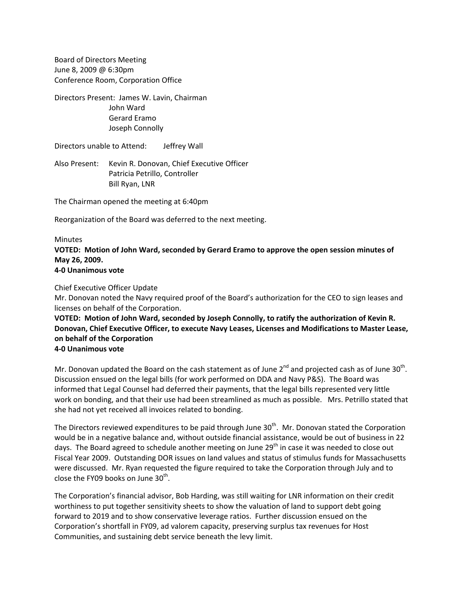Board of Directors Meeting June 8, 2009 @ 6:30pm Conference Room, Corporation Office

Directors Present: James W. Lavin, Chairman John Ward Gerard Eramo Joseph Connolly

Directors unable to Attend: Jeffrey Wall

Also Present: Kevin R. Donovan, Chief Executive Officer Patricia Petrillo, Controller Bill Ryan, LNR

The Chairman opened the meeting at 6:40pm

Reorganization of the Board was deferred to the next meeting.

## Minutes

**VOTED: Motion of John Ward, seconded by Gerard Eramo to approve the open session minutes of May 26, 2009. 4‐0 Unanimous vote**

Chief Executive Officer Update

Mr. Donovan noted the Navy required proof of the Board's authorization for the CEO to sign leases and licenses on behalf of the Corporation.

**VOTED: Motion of John Ward, seconded by Joseph Connolly, to ratify the authorization of Kevin R. Donovan, Chief Executive Officer, to execute Navy Leases, Licenses and Modifications to Master Lease, on behalf of the Corporation**

**4‐0 Unanimous vote**

Mr. Donovan updated the Board on the cash statement as of June  $2^{nd}$  and projected cash as of June 30<sup>th</sup>. Discussion ensued on the legal bills (for work performed on DDA and Navy P&S). The Board was informed that Legal Counsel had deferred their payments, that the legal bills represented very little work on bonding, and that their use had been streamlined as much as possible. Mrs. Petrillo stated that she had not yet received all invoices related to bonding.

The Directors reviewed expenditures to be paid through June  $30<sup>th</sup>$ . Mr. Donovan stated the Corporation would be in a negative balance and, without outside financial assistance, would be out of business in 22 days. The Board agreed to schedule another meeting on June 29<sup>th</sup> in case it was needed to close out Fiscal Year 2009. Outstanding DOR issues on land values and status of stimulus funds for Massachusetts were discussed. Mr. Ryan requested the figure required to take the Corporation through July and to close the FY09 books on June  $30<sup>th</sup>$ .

The Corporation's financial advisor, Bob Harding, was still waiting for LNR information on their credit worthiness to put together sensitivity sheets to show the valuation of land to support debt going forward to 2019 and to show conservative leverage ratios. Further discussion ensued on the Corporation's shortfall in FY09, ad valorem capacity, preserving surplus tax revenues for Host Communities, and sustaining debt service beneath the levy limit.